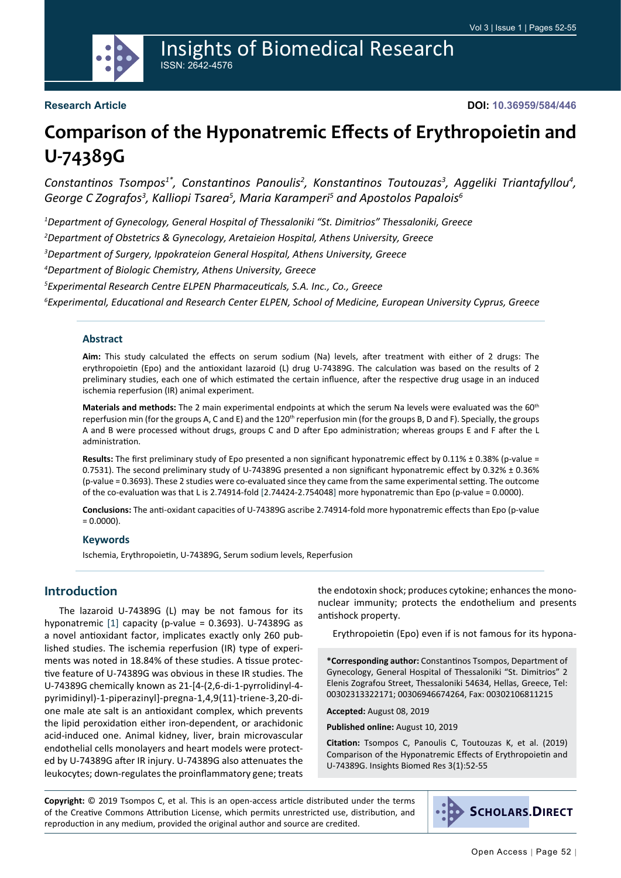

#### **Research Article**

**DOI: 10.36959/584/446**

# **Comparison of the Hyponatremic Effects of Erythropoietin and U-74389G**

Constantinos Tsompos<sup>1\*</sup>, Constantinos Panoulis<sup>2</sup>, Konstantinos Toutouzas<sup>3</sup>, Aggeliki Triantafyllou<sup>4</sup>, *George C Zografos<sup>3</sup> , Kalliopi Tsarea<sup>5</sup> , Maria Karamperi<sup>5</sup> and Apostolos Papalois<sup>6</sup>*

 *Department of Gynecology, General Hospital of Thessaloniki "St. Dimitrios" Thessaloniki, Greece Department of Obstetrics & Gynecology, Aretaieion Hospital, Athens University, Greece Department of Surgery, Ippokrateion General Hospital, Athens University, Greece Department of Biologic Chemistry, Athens University, Greece Experimental Research Centre ELPEN Pharmaceuticals, S.A. Inc., Co., Greece Experimental, Educational and Research Center ELPEN, School of Medicine, European University Cyprus, Greece*

#### **Abstract**

**Aim:** This study calculated the effects on serum sodium (Na) levels, after treatment with either of 2 drugs: The erythropoietin (Epo) and the antioxidant lazaroid (L) drug U-74389G. The calculation was based on the results of 2 preliminary studies, each one of which estimated the certain influence, after the respective drug usage in an induced ischemia reperfusion (IR) animal experiment.

**Materials and methods:** The 2 main experimental endpoints at which the serum Na levels were evaluated was the 60th reperfusion min (for the groups A, C and E) and the 120<sup>th</sup> reperfusion min (for the groups B, D and F). Specially, the groups A and B were processed without drugs, groups C and D after Epo administration; whereas groups E and F after the L administration.

**Results:** The first preliminary study of Epo presented a non significant hyponatremic effect by 0.11% ± 0.38% (p-value = 0.7531). The second preliminary study of U-74389G presented a non significant hyponatremic effect by 0.32% ± 0.36% (p-value = 0.3693). These 2 studies were co-evaluated since they came from the same experimental setting. The outcome of the co-evaluation was that L is 2.74914-fold [2.74424-2.754048] more hyponatremic than Epo (p-value = 0.0000).

**Conclusions:** The anti-oxidant capacities of U-74389G ascribe 2.74914-fold more hyponatremic effects than Epo (p-value  $= 0.0000$ ).

#### **Keywords**

Ischemia, Erythropoietin, U-74389G, Serum sodium levels, Reperfusion

#### **Introduction**

The lazaroid U-74389G (L) may be not famous for its hyponatremic [[1\]](#page-2-0) capacity (p-value = 0.3693). U-74389G as a novel antioxidant factor, implicates exactly only 260 published studies. The ischemia reperfusion (IR) type of experiments was noted in 18.84% of these studies. A tissue protective feature of U-74389G was obvious in these IR studies. The U-74389G chemically known as 21-[4-(2,6-di-1-pyrrolidinyl-4 pyrimidinyl)-1-piperazinyl]-pregna-1,4,9(11)-triene-3,20-dione male ate salt is an antioxidant complex, which prevents the lipid peroxidation either iron-dependent, or arachidonic acid-induced one. Animal kidney, liver, brain microvascular endothelial cells monolayers and heart models were protected by U-74389G after IR injury. U-74389G also attenuates the leukocytes; down-regulates the proinflammatory gene; treats the endotoxin shock; produces cytokine; enhances the mononuclear immunity; protects the endothelium and presents antishock property.

Erythropoietin (Epo) even if is not famous for its hypona-

**\*Corresponding author:** Constantinos Tsompos, Department of Gynecology, General Hospital of Thessaloniki "St. Dimitrios" 2 Elenis Zografou Street, Thessaloniki 54634, Hellas, Greece, Tel: 00302313322171; 00306946674264, Fax: 00302106811215

**Accepted:** August 08, 2019

**Published online:** August 10, 2019

**Citation:** Tsompos C, Panoulis C, Toutouzas K, et al. (2019) Comparison of the Hyponatremic Effects of Erythropoietin and U-74389G. Insights Biomed Res 3(1):52-55

**Copyright:** © 2019 Tsompos C, et al. This is an open-access article distributed under the terms of the Creative Commons Attribution License, which permits unrestricted use, distribution, and reproduction in any medium, provided the original author and source are credited.

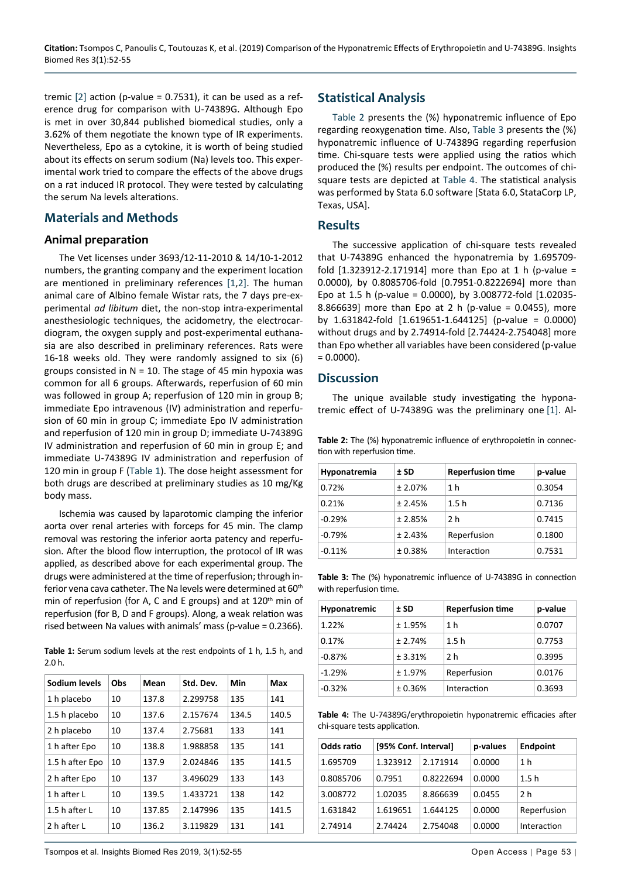tremic  $[2]$  $[2]$  action (p-value = 0.7531), it can be used as a reference drug for comparison with U-74389G. Although Epo is met in over 30,844 published biomedical studies, only a 3.62% of them negotiate the known type of IR experiments. Nevertheless, Epo as a cytokine, it is worth of being studied about its effects on serum sodium (Na) levels too. This experimental work tried to compare the effects of the above drugs on a rat induced IR protocol. They were tested by calculating the serum Na levels alterations.

#### **Materials and Methods**

#### **Animal preparation**

The Vet licenses under 3693/12-11-2010 & 14/10-1-2012 numbers, the granting company and the experiment location are mentioned in preliminary references [[1](#page-2-0)[,2](#page-2-1)]. The human animal care of Albino female Wistar rats, the 7 days pre-experimental *ad libitum* diet, the non-stop intra-experimental anesthesiologic techniques, the acidometry, the electrocardiogram, the oxygen supply and post-experimental euthanasia are also described in preliminary references. Rats were 16-18 weeks old. They were randomly assigned to six (6) groups consisted in  $N = 10$ . The stage of 45 min hypoxia was common for all 6 groups. Afterwards, reperfusion of 60 min was followed in group A; reperfusion of 120 min in group B; immediate Epo intravenous (IV) administration and reperfusion of 60 min in group C; immediate Epo IV administration and reperfusion of 120 min in group D; immediate U-74389G IV administration and reperfusion of 60 min in group E; and immediate U-74389G IV administration and reperfusion of 120 min in group F [\(Table 1\)](#page-1-3). The dose height assessment for both drugs are described at preliminary studies as 10 mg/Kg body mass.

Ischemia was caused by laparotomic clamping the inferior aorta over renal arteries with forceps for 45 min. The clamp removal was restoring the inferior aorta patency and reperfusion. After the blood flow interruption, the protocol of IR was applied, as described above for each experimental group. The drugs were administered at the time of reperfusion; through inferior vena cava catheter. The Na levels were determined at 60<sup>th</sup> min of reperfusion (for A, C and E groups) and at  $120<sup>th</sup>$  min of reperfusion (for B, D and F groups). Along, a weak relation was rised between Na values with animals' mass (p-value = 0.2366).

<span id="page-1-3"></span>**Table 1:** Serum sodium levels at the rest endpoints of 1 h, 1.5 h, and 2.0 h.

| Sodium levels   | Obs | Mean   | Std. Dev. | Min   | Max   |
|-----------------|-----|--------|-----------|-------|-------|
| 1 h placebo     | 10  | 137.8  | 2.299758  | 135   | 141   |
| 1.5 h placebo   | 10  | 137.6  | 2.157674  | 134.5 | 140.5 |
| 2 h placebo     | 10  | 137.4  | 2.75681   | 133   | 141   |
| 1 h after Epo   | 10  | 138.8  | 1.988858  | 135   | 141   |
| 1.5 h after Epo | 10  | 137.9  | 2.024846  | 135   | 141.5 |
| 2 h after Epo   | 10  | 137    | 3.496029  | 133   | 143   |
| 1 h after L     | 10  | 139.5  | 1.433721  | 138   | 142   |
| 1.5 h after L   | 10  | 137.85 | 2.147996  | 135   | 141.5 |
| 2 h after L     | 10  | 136.2  | 3.119829  | 131   | 141   |

## **Statistical Analysis**

[Table 2](#page-1-0) presents the (%) hyponatremic influence of Epo regarding reoxygenation time. Also, [Table 3](#page-1-1) presents the (%) hyponatremic influence of U-74389G regarding reperfusion time. Chi-square tests were applied using the ratios which produced the (%) results per endpoint. The outcomes of chisquare tests are depicted at [Table 4](#page-1-2). The statistical analysis was performed by Stata 6.0 software [Stata 6.0, StataCorp LP, Texas, USA].

#### **Results**

The successive application of chi-square tests revealed that U-74389G enhanced the hyponatremia by 1.695709 fold  $[1.323912 - 2.171914]$  more than Epo at 1 h (p-value = 0.0000), by 0.8085706-fold [0.7951-0.8222694] more than Epo at 1.5 h (p-value = 0.0000), by 3.008772-fold [1.02035- 8.866639] more than Epo at 2 h (p-value = 0.0455), more by 1.631842-fold [1.619651-1.644125] (p-value = 0.0000) without drugs and by 2.74914-fold [2.74424-2.754048] more than Epo whether all variables have been considered (p-value  $= 0.0000$ ).

#### **Discussion**

The unique available study investigating the hyponatremic effect of U-74389G was the preliminary one [\[1](#page-2-0)]. Al-

<span id="page-1-0"></span>**Table 2:** The (%) hyponatremic influence of erythropoietin in connection with reperfusion time.

| Hyponatremia | $±$ SD  | <b>Reperfusion time</b> | p-value |
|--------------|---------|-------------------------|---------|
| 0.72%        | ± 2.07% | 1 h                     | 0.3054  |
| 0.21%        | ± 2.45% | 1.5h                    | 0.7136  |
| $-0.29%$     | ± 2.85% | 2 h                     | 0.7415  |
| $-0.79%$     | ± 2.43% | Reperfusion             | 0.1800  |
| $-0.11%$     | ± 0.38% | Interaction             | 0.7531  |

<span id="page-1-1"></span>**Table 3:** The (%) hyponatremic influence of U-74389G in connection with reperfusion time.

| Hyponatremic | $±$ SD  | <b>Reperfusion time</b> | p-value |
|--------------|---------|-------------------------|---------|
| 1.22%        | ±1.95%  | 1 h                     | 0.0707  |
| 0.17%        | ± 2.74% | 1.5h                    | 0.7753  |
| $-0.87%$     | ± 3.31% | 2 h                     | 0.3995  |
| $-1.29%$     | ± 1.97% | Reperfusion             | 0.0176  |
| $-0.32%$     | ± 0.36% | Interaction             | 0.3693  |

<span id="page-1-2"></span>**Table 4:** The U-74389G/erythropoietin hyponatremic efficacies after chi-square tests application.

| Odds ratio | [95% Conf. Interval] |           | p-values | <b>Endpoint</b> |
|------------|----------------------|-----------|----------|-----------------|
| 1.695709   | 1.323912             | 2.171914  | 0.0000   | 1 h             |
| 0.8085706  | 0.7951               | 0.8222694 | 0.0000   | 1.5h            |
| 3.008772   | 1.02035              | 8.866639  | 0.0455   | 2 h             |
| 1.631842   | 1.619651             | 1.644125  | 0.0000   | Reperfusion     |
| 2.74914    | 2.74424              | 2.754048  | 0.0000   | Interaction     |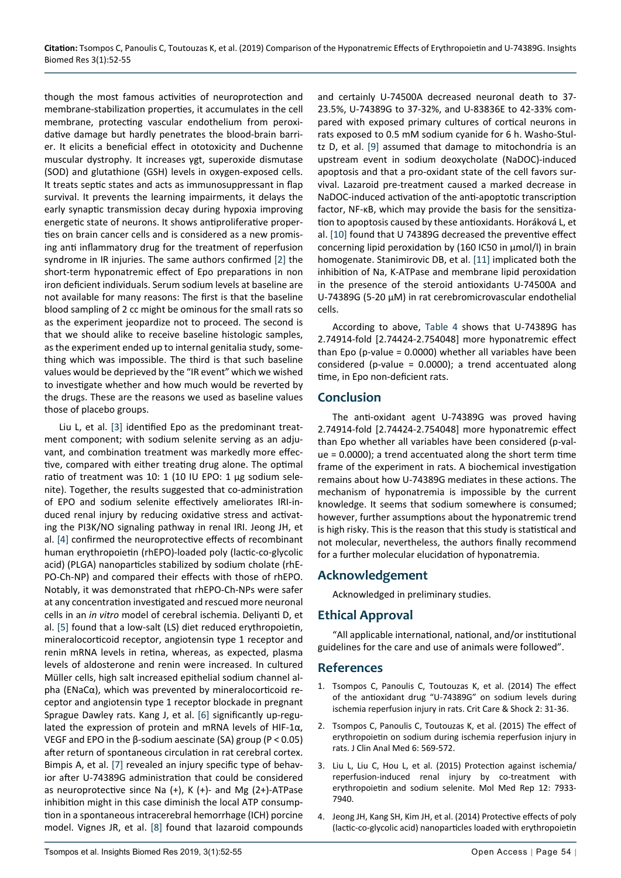though the most famous activities of neuroprotection and membrane-stabilization properties, it accumulates in the cell membrane, protecting vascular endothelium from peroxidative damage but hardly penetrates the blood-brain barrier. It elicits a beneficial effect in ototoxicity and Duchenne muscular dystrophy. It increases γgt, superoxide dismutase (SOD) and glutathione (GSH) levels in oxygen-exposed cells. It treats septic states and acts as immunosuppressant in flap survival. It prevents the learning impairments, it delays the early synaptic transmission decay during hypoxia improving energetic state of neurons. It shows antiproliferative properties on brain cancer cells and is considered as a new promising anti inflammatory drug for the treatment of reperfusion syndrome in IR injuries. The same authors confirmed [\[2](#page-2-1)] the short-term hyponatremic effect of Epo preparations in non iron deficient individuals. Serum sodium levels at baseline are not available for many reasons: The first is that the baseline blood sampling of 2 cc might be ominous for the small rats so as the experiment jeopardize not to proceed. The second is that we should alike to receive baseline histologic samples, as the experiment ended up to internal genitalia study, something which was impossible. The third is that such baseline values would be deprieved by the "IR event" which we wished to investigate whether and how much would be reverted by the drugs. These are the reasons we used as baseline values those of placebo groups.

Liu L, et al. [[3\]](#page-2-2) identified Epo as the predominant treatment component; with sodium selenite serving as an adjuvant, and combination treatment was markedly more effective, compared with either treating drug alone. The optimal ratio of treatment was 10: 1 (10 IU EPO: 1 µg sodium selenite). Together, the results suggested that co-administration of EPO and sodium selenite effectively ameliorates IRI-induced renal injury by reducing oxidative stress and activating the PI3K/NO signaling pathway in renal IRI. Jeong JH, et al. [[4\]](#page-2-3) confirmed the neuroprotective effects of recombinant human erythropoietin (rhEPO)-loaded poly (lactic-co-glycolic acid) (PLGA) nanoparticles stabilized by sodium cholate (rhE-PO-Ch-NP) and compared their effects with those of rhEPO. Notably, it was demonstrated that rhEPO-Ch-NPs were safer at any concentration investigated and rescued more neuronal cells in an *in vitro* model of cerebral ischemia. Deliyanti D, et al. [[5\]](#page-3-3) found that a low-salt (LS) diet reduced erythropoietin, mineralocorticoid receptor, angiotensin type 1 receptor and renin mRNA levels in retina, whereas, as expected, plasma levels of aldosterone and renin were increased. In cultured Müller cells, high salt increased epithelial sodium channel alpha (ENaCα), which was prevented by mineralocorticoid receptor and angiotensin type 1 receptor blockade in pregnant Sprague Dawley rats. Kang J, et al. [[6\]](#page-3-4) significantly up-regulated the expression of protein and mRNA levels of HIF-1α, VEGF and EPO in the β-sodium aescinate (SA) group (P < 0.05) after return of spontaneous circulation in rat cerebral cortex. Bimpis A, et al. [\[7](#page-3-5)] revealed an injury specific type of behavior after U-74389G administration that could be considered as neuroprotective since Na (+), K (+)- and Mg (2+)-ATPase inhibition might in this case diminish the local ATP consumption in a spontaneous intracerebral hemorrhage (ICH) porcine model. Vignes JR, et al. [[8\]](#page-3-6) found that lazaroid compounds

23.5%, U-74389G to 37-32%, and U-83836E to 42-33% compared with exposed primary cultures of cortical neurons in rats exposed to 0.5 mM sodium cyanide for 6 h. Washo-Stultz D, et al. [\[9\]](#page-3-0) assumed that damage to mitochondria is an upstream event in sodium deoxycholate (NaDOC)-induced apoptosis and that a pro-oxidant state of the cell favors survival. Lazaroid pre-treatment caused a marked decrease in NaDOC-induced activation of the anti-apoptotic transcription factor, NF-κB, which may provide the basis for the sensitization to apoptosis caused by these antioxidants. Horáková L, et al. [[10\]](#page-3-1) found that U 74389G decreased the preventive effect concerning lipid peroxidation by (160 IC50 in μmol/l) in brain homogenate. Stanimirovic DB, et al. [[11\]](#page-3-2) implicated both the inhibition of Na, K-ATPase and membrane lipid peroxidation in the presence of the steroid antioxidants U-74500A and U-74389G (5-20 μM) in rat cerebromicrovascular endothelial cells. According to above, [Table 4](#page-1-2) shows that U-74389G has 2.74914-fold [2.74424-2.754048] more hyponatremic effect

and certainly U-74500A decreased neuronal death to 37-

than Epo (p-value = 0.0000) whether all variables have been considered (p-value = 0.0000); a trend accentuated along time, in Epo non-deficient rats.

#### **Conclusion**

The anti-oxidant agent U-74389G was proved having 2.74914-fold [2.74424-2.754048] more hyponatremic effect than Epo whether all variables have been considered (p-value = 0.0000); a trend accentuated along the short term time frame of the experiment in rats. A biochemical investigation remains about how U-74389G mediates in these actions. The mechanism of hyponatremia is impossible by the current knowledge. It seems that sodium somewhere is consumed; however, further assumptions about the hyponatremic trend is high risky. This is the reason that this study is statistical and not molecular, nevertheless, the authors finally recommend for a further molecular elucidation of hyponatremia.

# **Acknowledgement**

Acknowledged in preliminary studies.

# **Ethical Approval**

"All applicable international, national, and/or institutional guidelines for the care and use of animals were followed".

### **References**

- <span id="page-2-0"></span>1. [Τsompos C, Panoulis C, Τοutouzas K, et al. \(2014\) The effect](http://criticalcareshock.org/2014/05/the-effect-of-the-antioxidant-drug-u-74389g-on-sodium-levels-during-ischemia-reperfusion-injury-in-rats/)  [of the antioxidant drug "U-74389G" on sodium levels during](http://criticalcareshock.org/2014/05/the-effect-of-the-antioxidant-drug-u-74389g-on-sodium-levels-during-ischemia-reperfusion-injury-in-rats/)  [ischemia reperfusion injury in rats. Crit Care & Shock 2: 31-36.](http://criticalcareshock.org/2014/05/the-effect-of-the-antioxidant-drug-u-74389g-on-sodium-levels-during-ischemia-reperfusion-injury-in-rats/)
- <span id="page-2-1"></span>2. [Τsompos C, Panoulis C, Τοutouzas K, et al. \(2015\) The effect of](http://www.bayrakol.org/en/2015/september2015/original-article/item/1153-the-effect-of-erythropoietin-on-sodium-during-ischemia-reperfusion-injury-in-rats)  [erythropoietin on sodium during ischemia reperfusion injury in](http://www.bayrakol.org/en/2015/september2015/original-article/item/1153-the-effect-of-erythropoietin-on-sodium-during-ischemia-reperfusion-injury-in-rats)  [rats. J Clin Anal Med 6: 569-572.](http://www.bayrakol.org/en/2015/september2015/original-article/item/1153-the-effect-of-erythropoietin-on-sodium-during-ischemia-reperfusion-injury-in-rats)
- <span id="page-2-2"></span>3. [Liu L, Liu C, Hou L, et al. \(2015\) Protection against ischemia/](https://www.ncbi.nlm.nih.gov/pmc/articles/PMC4758319/) reperfusion-induced renal injury by co-treatment with [erythropoietin and sodium selenite. Mol Med Rep 12: 7933-](https://www.ncbi.nlm.nih.gov/pmc/articles/PMC4758319/) [7940.](https://www.ncbi.nlm.nih.gov/pmc/articles/PMC4758319/)
- <span id="page-2-3"></span>4. [Jeong JH, Kang SH, Kim JH, et al. \(2014\) Protective effects of poly](https://www.ncbi.nlm.nih.gov/pubmed/25958529)  [\(lactic-co-glycolic acid\) nanoparticles loaded with erythropoietin](https://www.ncbi.nlm.nih.gov/pubmed/25958529)